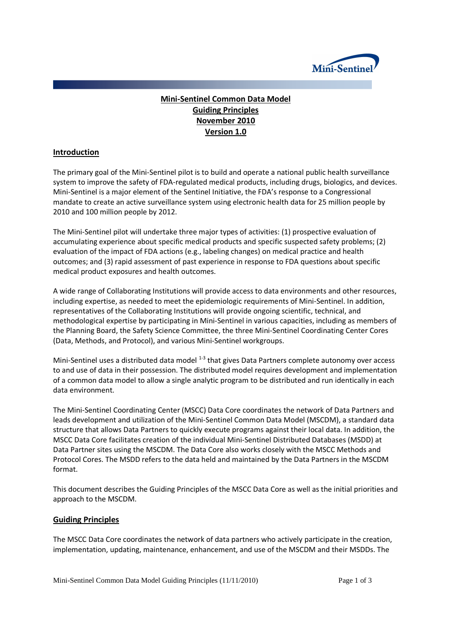

# **Mini-Sentinel Common Data Model Guiding Principles November 2010 Version 1.0**

## **Introduction**

The primary goal of the Mini-Sentinel pilot is to build and operate a national public health surveillance system to improve the safety of FDA-regulated medical products, including drugs, biologics, and devices. Mini-Sentinel is a major element of the Sentinel Initiative, the FDA's response to a Congressional mandate to create an active surveillance system using electronic health data for 25 million people by 2010 and 100 million people by 2012.

The Mini-Sentinel pilot will undertake three major types of activities: (1) prospective evaluation of accumulating experience about specific medical products and specific suspected safety problems; (2) evaluation of the impact of FDA actions (e.g., labeling changes) on medical practice and health outcomes; and (3) rapid assessment of past experience in response to FDA questions about specific medical product exposures and health outcomes.

A wide range of Collaborating Institutions will provide access to data environments and other resources, including expertise, as needed to meet the epidemiologic requirements of Mini-Sentinel. In addition, representatives of the Collaborating Institutions will provide ongoing scientific, technical, and methodological expertise by participating in Mini-Sentinel in various capacities, including as members of the Planning Board, the Safety Science Committee, the three Mini-Sentinel Coordinating Center Cores (Data, Methods, and Protocol), and various Mini-Sentinel workgroups.

Mini-Sentinel uses a distributed data model  $1-3$  that gives Data Partners complete autonomy over access to and use of data in their possession. The distributed model requires development and implementation of a common data model to allow a single analytic program to be distributed and run identically in each data environment.

The Mini-Sentinel Coordinating Center (MSCC) Data Core coordinates the network of Data Partners and leads development and utilization of the Mini-Sentinel Common Data Model (MSCDM), a standard data structure that allows Data Partners to quickly execute programs against their local data. In addition, the MSCC Data Core facilitates creation of the individual Mini-Sentinel Distributed Databases (MSDD) at Data Partner sites using the MSCDM. The Data Core also works closely with the MSCC Methods and Protocol Cores. The MSDD refers to the data held and maintained by the Data Partners in the MSCDM format.

This document describes the Guiding Principles of the MSCC Data Core as well as the initial priorities and approach to the MSCDM.

#### **Guiding Principles**

The MSCC Data Core coordinates the network of data partners who actively participate in the creation, implementation, updating, maintenance, enhancement, and use of the MSCDM and their MSDDs. The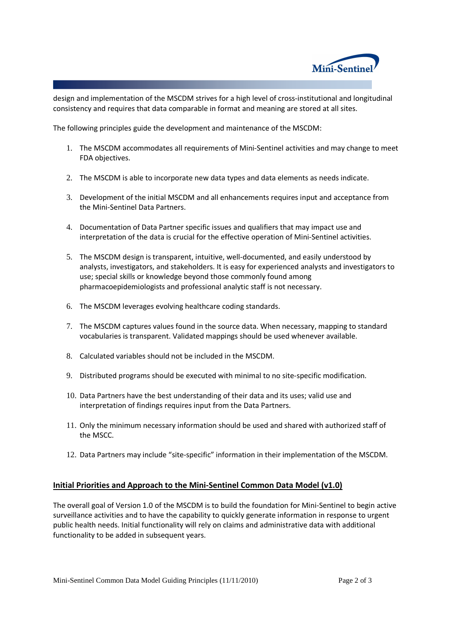

design and implementation of the MSCDM strives for a high level of cross-institutional and longitudinal consistency and requires that data comparable in format and meaning are stored at all sites.

The following principles guide the development and maintenance of the MSCDM:

- 1. The MSCDM accommodates all requirements of Mini-Sentinel activities and may change to meet FDA objectives.
- 2. The MSCDM is able to incorporate new data types and data elements as needs indicate.
- 3. Development of the initial MSCDM and all enhancements requires input and acceptance from the Mini-Sentinel Data Partners.
- 4. Documentation of Data Partner specific issues and qualifiers that may impact use and interpretation of the data is crucial for the effective operation of Mini-Sentinel activities.
- 5. The MSCDM design is transparent, intuitive, well-documented, and easily understood by analysts, investigators, and stakeholders. It is easy for experienced analysts and investigators to use; special skills or knowledge beyond those commonly found among pharmacoepidemiologists and professional analytic staff is not necessary.
- 6. The MSCDM leverages evolving healthcare coding standards.
- 7. The MSCDM captures values found in the source data. When necessary, mapping to standard vocabularies is transparent. Validated mappings should be used whenever available.
- 8. Calculated variables should not be included in the MSCDM.
- 9. Distributed programs should be executed with minimal to no site-specific modification.
- 10. Data Partners have the best understanding of their data and its uses; valid use and interpretation of findings requires input from the Data Partners.
- 11. Only the minimum necessary information should be used and shared with authorized staff of the MSCC.
- 12. Data Partners may include "site-specific" information in their implementation of the MSCDM.

#### **Initial Priorities and Approach to the Mini-Sentinel Common Data Model (v1.0)**

The overall goal of Version 1.0 of the MSCDM is to build the foundation for Mini-Sentinel to begin active surveillance activities and to have the capability to quickly generate information in response to urgent public health needs. Initial functionality will rely on claims and administrative data with additional functionality to be added in subsequent years.